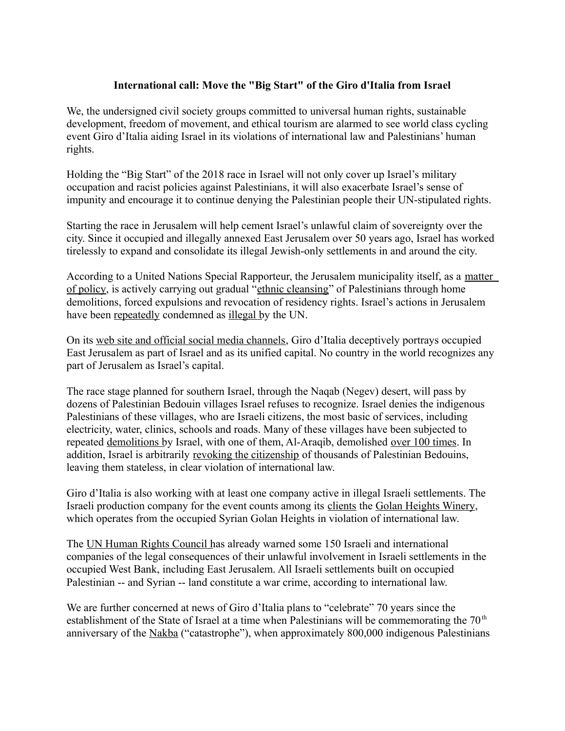## **International call: Move the "Big Start" of the Giro d'Italia from Israel**

We, the undersigned civil society groups committed to universal human rights, sustainable development, freedom of movement, and ethical tourism are alarmed to see world class cycling event Giro d'Italia aiding Israel in its violations of international law and Palestinians' human rights.

Holding the "Big Start" of the 2018 race in Israel will not only cover up Israel's military occupation and racist policies against Palestinians, it will also exacerbate Israel's sense of impunity and encourage it to continue denying the Palestinian people their UN-stipulated rights.

Starting the race in Jerusalem will help cement Israel's unlawful claim of sovereignty over the city. Since it occupied and illegally annexed East Jerusalem over 50 years ago, Israel has worked tirelessly to expand and consolidate its illegal Jewish-only settlements in and around the city.

According to a United Nations Special Rapporteur, the Jerusalem municipality itself, as a [matter](http://www.alhaq.org/publications/publications-index/item/the-jerusalem-trap)  [of policy,](http://www.alhaq.org/publications/publications-index/item/the-jerusalem-trap) is actively carrying out gradual ["ethnic cleansing"](http://uk.reuters.com/article/uk-palestinian-israel-un/u-n-rights-investigator-accuses-israel-of-ethnic-cleansing-idUKBREA2K1JM20140321) of Palestinians through home demolitions, forced expulsions and revocation of residency rights. Israel's actions in Jerusalem have been [repeatedly](http://repository.un.org/handle/11176/267814) condemned as [illegal b](http://repository.un.org/handle/11176/166708)y the UN.

On its [web site and official social media channels,](https://bdsmovement.net/news/giro-ditalia-actively-aiding-israels-violations-international-law-and-palestinian-rights) Giro d'Italia deceptively portrays occupied East Jerusalem as part of Israel and as its unified capital. No country in the world recognizes any part of Jerusalem as Israel's capital.

The race stage planned for southern Israel, through the Naqab (Negev) desert, will pass by dozens of Palestinian Bedouin villages Israel refuses to recognize. Israel denies the indigenous Palestinians of these villages, who are Israeli citizens, the most basic of services, including electricity, water, clinics, schools and roads. Many of these villages have been subjected to repeated [demolitions b](http://www.amnesty.org.il/en/cat/817/)y Israel, with one of them, Al-Araqib, demolished [over 100 times.](http://www.haaretz.com/israel-news/.premium-1.808427) In addition, Israel is arbitrarily [revoking the citizenship](http://www.haaretz.com/israel-news/.premium-1.808886) of thousands of Palestinian Bedouins, leaving them stateless, in clear violation of international law.

Giro d'Italia is also working with at least one company active in illegal Israeli settlements. The Israeli production company for the event counts among its [clients](http://www.comtecint.com/clients/) the [Golan Heights Winery,](https://whoprofits.org/company/golan-heights-winery) which operates from the occupied Syrian Golan Heights in violation of international law.

The [UN Human Rights Council h](https://bdsmovement.net/news/un-takes-first-concrete-step-hold-israel-accountable-violating-palestinian-human-rights)as already warned some 150 Israeli and international companies of the legal consequences of their unlawful involvement in Israeli settlements in the occupied West Bank, including East Jerusalem. All Israeli settlements built on occupied Palestinian -- and Syrian -- land constitute a war crime, according to international law.

We are further concerned at news of Giro d'Italia plans to "celebrate" 70 years since the establishment of the State of Israel at a time when Palestinians will be commemorating the  $70<sup>th</sup>$ anniversary of the [Nakba](https://imeu.org/article/quick-facts-the-palestinian-nakba) ("catastrophe"), when approximately 800,000 indigenous Palestinians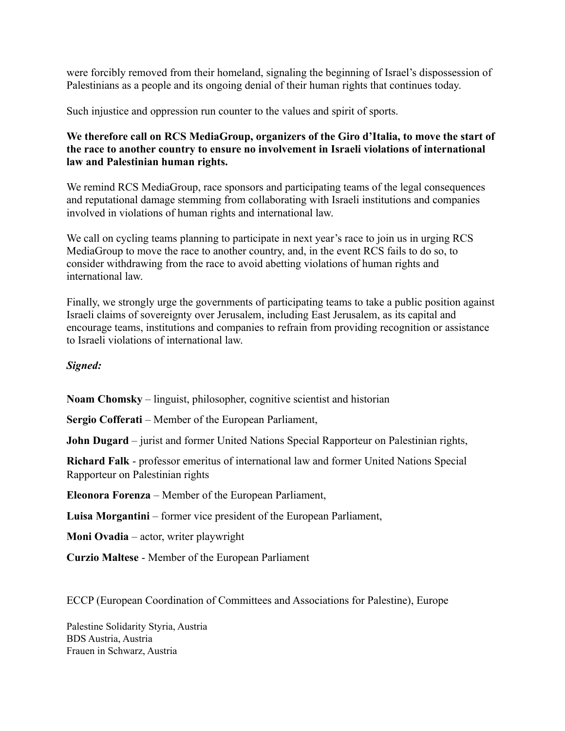were forcibly removed from their homeland, signaling the beginning of Israel's dispossession of Palestinians as a people and its ongoing denial of their human rights that continues today.

Such injustice and oppression run counter to the values and spirit of sports.

## **We therefore call on RCS MediaGroup, organizers of the Giro d'Italia, to move the start of the race to another country to ensure no involvement in Israeli violations of international law and Palestinian human rights.**

We remind RCS MediaGroup, race sponsors and participating teams of the legal consequences and reputational damage stemming from collaborating with Israeli institutions and companies involved in violations of human rights and international law.

We call on cycling teams planning to participate in next year's race to join us in urging RCS MediaGroup to move the race to another country, and, in the event RCS fails to do so, to consider withdrawing from the race to avoid abetting violations of human rights and international law.

Finally, we strongly urge the governments of participating teams to take a public position against Israeli claims of sovereignty over Jerusalem, including East Jerusalem, as its capital and encourage teams, institutions and companies to refrain from providing recognition or assistance to Israeli violations of international law.

## *Signed:*

**Noam Chomsky** – linguist, philosopher, cognitive scientist and historian

**Sergio Cofferati** – Member of the European Parliament,

**John Dugard** – jurist and former United Nations Special Rapporteur on Palestinian rights,

**Richard Falk** - professor emeritus of international law and former United Nations Special Rapporteur on Palestinian rights

**Eleonora Forenza** – Member of the European Parliament,

**Luisa Morgantini** – former vice president of the European Parliament,

**Moni Ovadia** – actor, writer playwright

**Curzio Maltese** - Member of the European Parliament

ECCP (European Coordination of Committees and Associations for Palestine), Europe

Palestine Solidarity Styria, Austria BDS Austria, Austria Frauen in Schwarz, Austria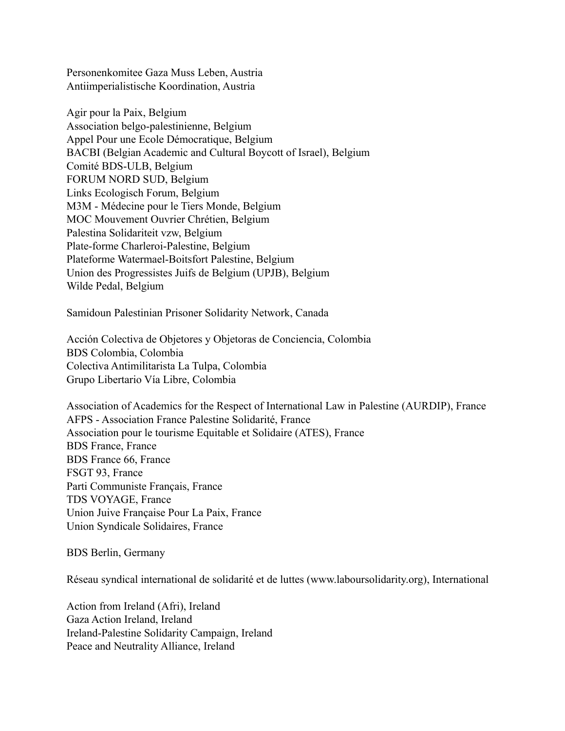Personenkomitee Gaza Muss Leben, Austria Antiimperialistische Koordination, Austria

Agir pour la Paix, Belgium Association belgo-palestinienne, Belgium Appel Pour une Ecole Démocratique, Belgium BACBI (Belgian Academic and Cultural Boycott of Israel), Belgium Comité BDS-ULB, Belgium FORUM NORD SUD, Belgium Links Ecologisch Forum, Belgium M3M - Médecine pour le Tiers Monde, Belgium MOC Mouvement Ouvrier Chrétien, Belgium Palestina Solidariteit vzw, Belgium Plate-forme Charleroi-Palestine, Belgium Plateforme Watermael-Boitsfort Palestine, Belgium Union des Progressistes Juifs de Belgium (UPJB), Belgium Wilde Pedal, Belgium

Samidoun Palestinian Prisoner Solidarity Network, Canada

Acción Colectiva de Objetores y Objetoras de Conciencia, Colombia BDS Colombia, Colombia Colectiva Antimilitarista La Tulpa, Colombia Grupo Libertario Vía Libre, Colombia

Association of Academics for the Respect of International Law in Palestine (AURDIP), France AFPS - Association France Palestine Solidarité, France Association pour le tourisme Equitable et Solidaire (ATES), France BDS France, France BDS France 66, France FSGT 93, France Parti Communiste Français, France TDS VOYAGE, France Union Juive Française Pour La Paix, France Union Syndicale Solidaires, France

BDS Berlin, Germany

Réseau syndical international de solidarité et de luttes (www.laboursolidarity.org), International

Action from Ireland (Afri), Ireland Gaza Action Ireland, Ireland Ireland-Palestine Solidarity Campaign, Ireland Peace and Neutrality Alliance, Ireland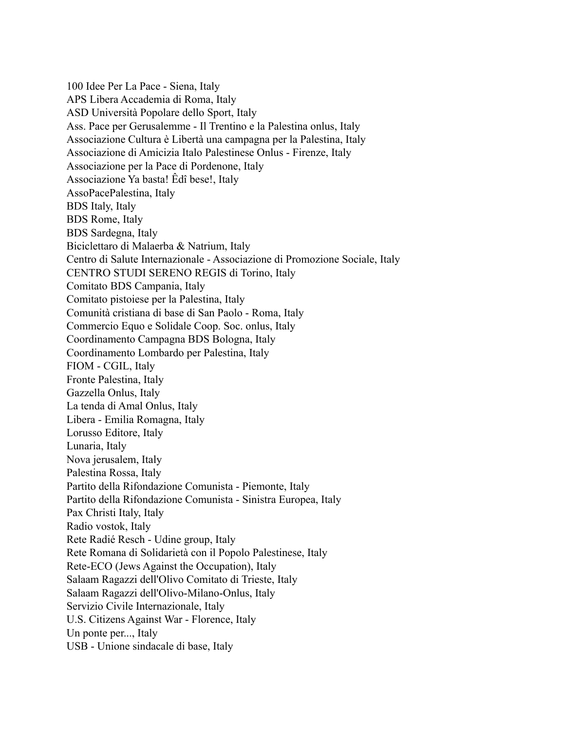100 Idee Per La Pace - Siena, Italy APS Libera Accademia di Roma, Italy ASD Università Popolare dello Sport, Italy Ass. Pace per Gerusalemme - Il Trentino e la Palestina onlus, Italy Associazione Cultura è Libertà una campagna per la Palestina, Italy Associazione di Amicizia Italo Palestinese Onlus - Firenze, Italy Associazione per la Pace di Pordenone, Italy Associazione Ya basta! Êdî bese!, Italy AssoPacePalestina, Italy BDS Italy, Italy BDS Rome, Italy BDS Sardegna, Italy Biciclettaro di Malaerba & Natrium, Italy Centro di Salute Internazionale - Associazione di Promozione Sociale, Italy CENTRO STUDI SERENO REGIS di Torino, Italy Comitato BDS Campania, Italy Comitato pistoiese per la Palestina, Italy Comunità cristiana di base di San Paolo - Roma, Italy Commercio Equo e Solidale Coop. Soc. onlus, Italy Coordinamento Campagna BDS Bologna, Italy Coordinamento Lombardo per Palestina, Italy FIOM - CGIL, Italy Fronte Palestina, Italy Gazzella Onlus, Italy La tenda di Amal Onlus, Italy Libera - Emilia Romagna, Italy Lorusso Editore, Italy Lunaria, Italy Nova jerusalem, Italy Palestina Rossa, Italy Partito della Rifondazione Comunista - Piemonte, Italy Partito della Rifondazione Comunista - Sinistra Europea, Italy Pax Christi Italy, Italy Radio vostok, Italy Rete Radié Resch - Udine group, Italy Rete Romana di Solidarietà con il Popolo Palestinese, Italy Rete-ECO (Jews Against the Occupation), Italy Salaam Ragazzi dell'Olivo Comitato di Trieste, Italy Salaam Ragazzi dell'Olivo-Milano-Onlus, Italy Servizio Civile Internazionale, Italy U.S. Citizens Against War - Florence, Italy Un ponte per..., Italy USB - Unione sindacale di base, Italy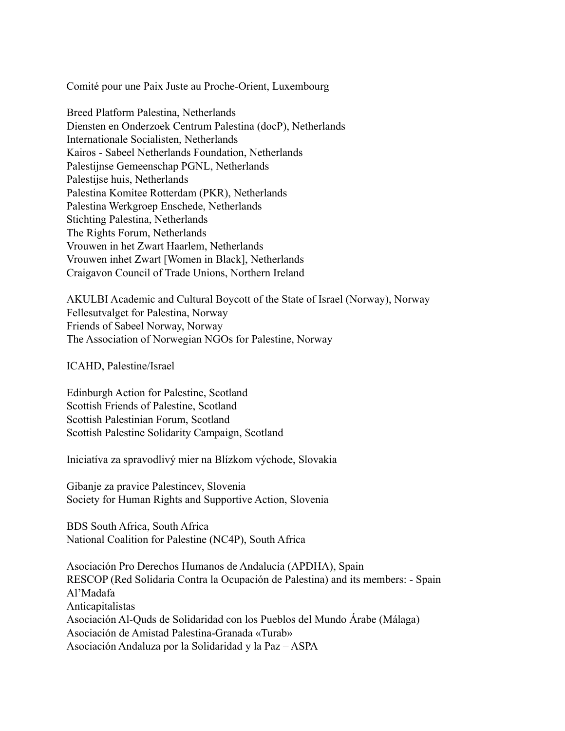Comité pour une Paix Juste au Proche-Orient, Luxembourg

Breed Platform Palestina, Netherlands Diensten en Onderzoek Centrum Palestina (docP), Netherlands Internationale Socialisten, Netherlands Kairos - Sabeel Netherlands Foundation, Netherlands Palestijnse Gemeenschap PGNL, Netherlands Palestijse huis, Netherlands Palestina Komitee Rotterdam (PKR), Netherlands Palestina Werkgroep Enschede, Netherlands Stichting Palestina, Netherlands The Rights Forum, Netherlands Vrouwen in het Zwart Haarlem, Netherlands Vrouwen inhet Zwart [Women in Black], Netherlands Craigavon Council of Trade Unions, Northern Ireland

AKULBI Academic and Cultural Boycott of the State of Israel (Norway), Norway Fellesutvalget for Palestina, Norway Friends of Sabeel Norway, Norway The Association of Norwegian NGOs for Palestine, Norway

ICAHD, Palestine/Israel

Edinburgh Action for Palestine, Scotland Scottish Friends of Palestine, Scotland Scottish Palestinian Forum, Scotland Scottish Palestine Solidarity Campaign, Scotland

Iniciatíva za spravodlivý mier na Blízkom východe, Slovakia

Gibanje za pravice Palestincev, Slovenia Society for Human Rights and Supportive Action, Slovenia

BDS South Africa, South Africa National Coalition for Palestine (NC4P), South Africa

Asociación Pro Derechos Humanos de Andalucía (APDHA), Spain RESCOP (Red Solidaria Contra la Ocupación de Palestina) and its members: - Spain Al'Madafa Anticapitalistas Asociación Al-Quds de Solidaridad con los Pueblos del Mundo Árabe (Málaga) Asociación de Amistad Palestina-Granada «Turab» Asociación Andaluza por la Solidaridad y la Paz – ASPA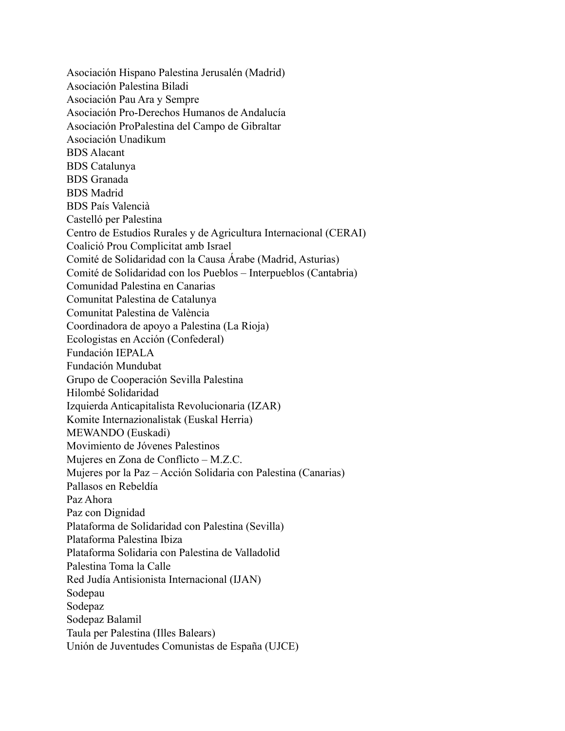Asociación Hispano Palestina Jerusalén (Madrid) Asociación Palestina Biladi Asociación Pau Ara y Sempre Asociación Pro-Derechos Humanos de Andalucía Asociación ProPalestina del Campo de Gibraltar Asociación Unadikum BDS Alacant BDS Catalunya BDS Granada BDS Madrid BDS País Valencià Castelló per Palestina Centro de Estudios Rurales y de Agricultura Internacional (CERAI) Coalició Prou Complicitat amb Israel Comité de Solidaridad con la Causa Árabe (Madrid, Asturias) Comité de Solidaridad con los Pueblos – Interpueblos (Cantabria) Comunidad Palestina en Canarias Comunitat Palestina de Catalunya Comunitat Palestina de València Coordinadora de apoyo a Palestina (La Rioja) Ecologistas en Acción (Confederal) Fundación IEPALA Fundación Mundubat Grupo de Cooperación Sevilla Palestina Hilombé Solidaridad Izquierda Anticapitalista Revolucionaria (IZAR) Komite Internazionalistak (Euskal Herria) MEWANDO (Euskadi) Movimiento de Jóvenes Palestinos Mujeres en Zona de Conflicto – M.Z.C. Mujeres por la Paz – Acción Solidaria con Palestina (Canarias) Pallasos en Rebeldía Paz Ahora Paz con Dignidad Plataforma de Solidaridad con Palestina (Sevilla) Plataforma Palestina Ibiza Plataforma Solidaria con Palestina de Valladolid Palestina Toma la Calle Red Judía Antisionista Internacional (IJAN) Sodepau Sodepaz Sodepaz Balamil Taula per Palestina (Illes Balears) Unión de Juventudes Comunistas de España (UJCE)